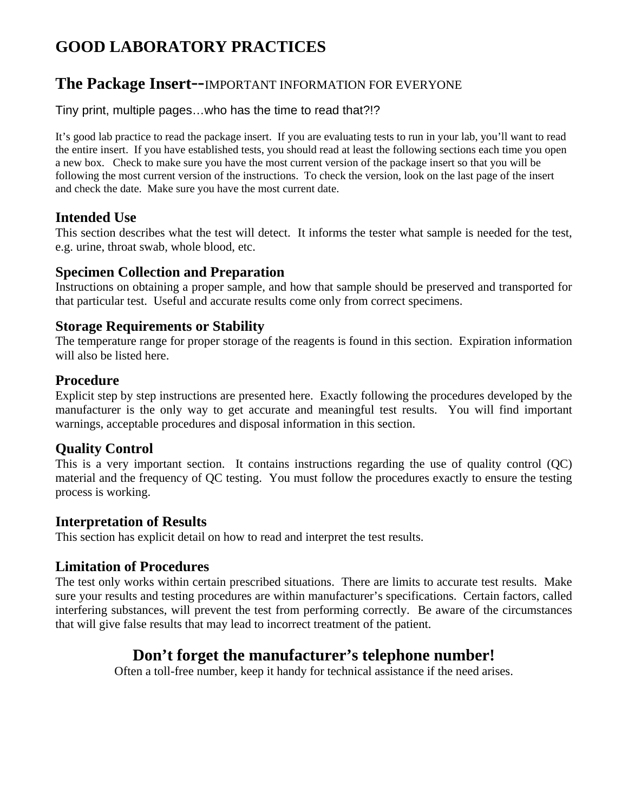# **GOOD LABORATORY PRACTICES**

# **The Package Insert**--IMPORTANT INFORMATION FOR EVERYONE

#### Tiny print, multiple pages…who has the time to read that?!?

It's good lab practice to read the package insert. If you are evaluating tests to run in your lab, you'll want to read the entire insert. If you have established tests, you should read at least the following sections each time you open a new box. Check to make sure you have the most current version of the package insert so that you will be following the most current version of the instructions. To check the version, look on the last page of the insert and check the date. Make sure you have the most current date.

#### **Intended Use**

This section describes what the test will detect. It informs the tester what sample is needed for the test, e.g. urine, throat swab, whole blood, etc.

#### **Specimen Collection and Preparation**

Instructions on obtaining a proper sample, and how that sample should be preserved and transported for that particular test. Useful and accurate results come only from correct specimens.

# **Storage Requirements or Stability**

The temperature range for proper storage of the reagents is found in this section. Expiration information will also be listed here.

#### **Procedure**

Explicit step by step instructions are presented here. Exactly following the procedures developed by the manufacturer is the only way to get accurate and meaningful test results. You will find important warnings, acceptable procedures and disposal information in this section.

# **Quality Control**

This is a very important section. It contains instructions regarding the use of quality control (QC) material and the frequency of QC testing. You must follow the procedures exactly to ensure the testing process is working.

#### **Interpretation of Results**

This section has explicit detail on how to read and interpret the test results.

# **Limitation of Procedures**

The test only works within certain prescribed situations. There are limits to accurate test results. Make sure your results and testing procedures are within manufacturer's specifications. Certain factors, called interfering substances, will prevent the test from performing correctly. Be aware of the circumstances that will give false results that may lead to incorrect treatment of the patient.

# **Don't forget the manufacturer's telephone number!**

Often a toll-free number, keep it handy for technical assistance if the need arises.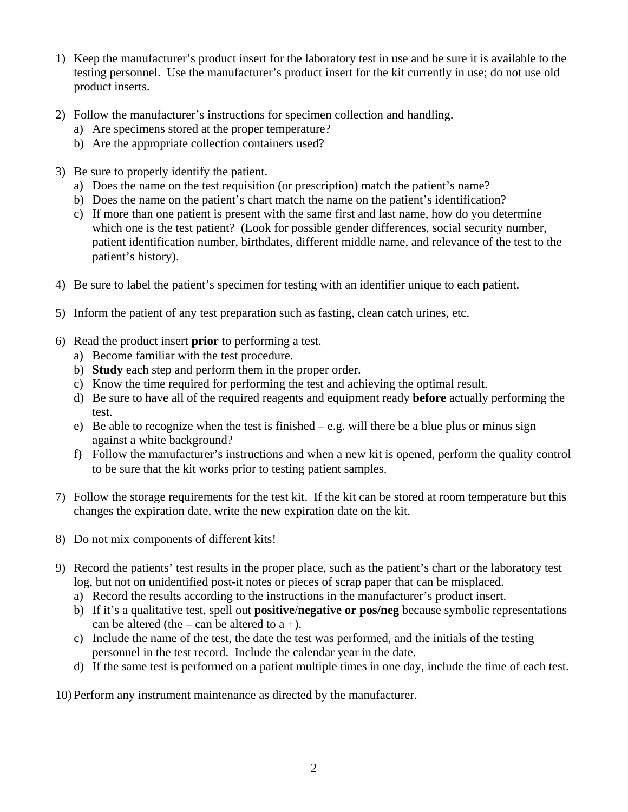- 1) Keep the manufacturer's product insert for the laboratory test in use and be sure it is available to the testing personnel. Use the manufacturer's product insert for the kit currently in use; do not use old product inserts.
- 2) Follow the manufacturer's instructions for specimen collection and handling.
	- a) Are specimens stored at the proper temperature?
	- b) Are the appropriate collection containers used?
- 3) Be sure to properly identify the patient.
	- a) Does the name on the test requisition (or prescription) match the patient's name?
	- b) Does the name on the patient's chart match the name on the patient's identification?
	- c) If more than one patient is present with the same first and last name, how do you determine which one is the test patient? (Look for possible gender differences, social security number, patient identification number, birthdates, different middle name, and relevance of the test to the patient's history).
- 4) Be sure to label the patient's specimen for testing with an identifier unique to each patient.
- 5) Inform the patient of any test preparation such as fasting, clean catch urines, etc.
- 6) Read the product insert **prior** to performing a test.
	- a) Become familiar with the test procedure.
	- b) **Study** each step and perform them in the proper order.
	- c) Know the time required for performing the test and achieving the optimal result.
	- d) Be sure to have all of the required reagents and equipment ready **before** actually performing the test.
	- e) Be able to recognize when the test is finished e.g. will there be a blue plus or minus sign against a white background?
	- f) Follow the manufacturer's instructions and when a new kit is opened, perform the quality control to be sure that the kit works prior to testing patient samples.
- 7) Follow the storage requirements for the test kit. If the kit can be stored at room temperature but this changes the expiration date, write the new expiration date on the kit.
- 8) Do not mix components of different kits!
- 9) Record the patients' test results in the proper place, such as the patient's chart or the laboratory test log, but not on unidentified post-it notes or pieces of scrap paper that can be misplaced.
	- a) Record the results according to the instructions in the manufacturer's product insert.
	- b) If it's a qualitative test, spell out **positive**/**negative or pos/neg** because symbolic representations can be altered (the – can be altered to  $a +$ ).
	- c) Include the name of the test, the date the test was performed, and the initials of the testing personnel in the test record. Include the calendar year in the date.
	- d) If the same test is performed on a patient multiple times in one day, include the time of each test.

10) Perform any instrument maintenance as directed by the manufacturer.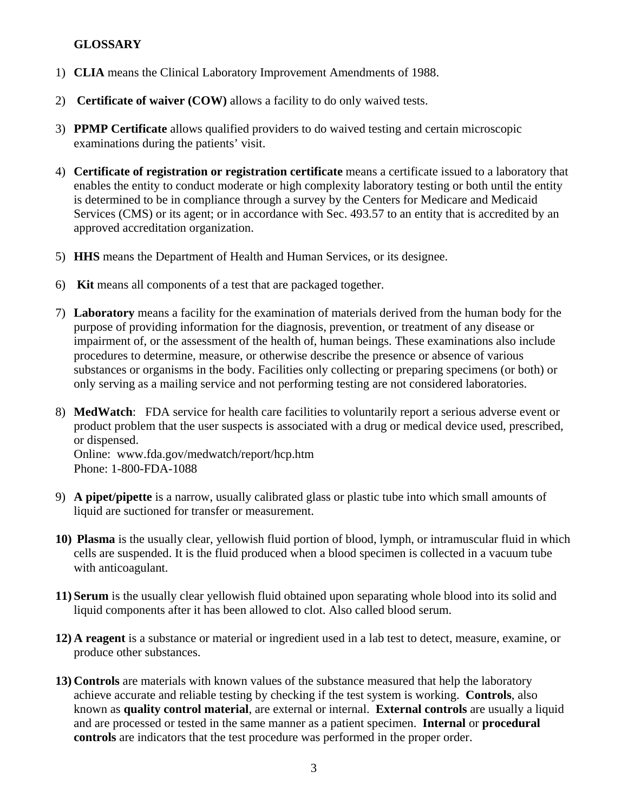#### **GLOSSARY**

- 1) **CLIA** means the Clinical Laboratory Improvement Amendments of 1988.
- 2) **Certificate of waiver (COW)** allows a facility to do only waived tests.
- 3) **PPMP Certificate** allows qualified providers to do waived testing and certain microscopic examinations during the patients' visit.
- 4) **Certificate of registration or registration certificate** means a certificate issued to a laboratory that enables the entity to conduct moderate or high complexity laboratory testing or both until the entity is determined to be in compliance through a survey by the Centers for Medicare and Medicaid Services (CMS) or its agent; or in accordance with Sec. 493.57 to an entity that is accredited by an approved accreditation organization.
- 5) **HHS** means the Department of Health and Human Services, or its designee.
- 6) **Kit** means all components of a test that are packaged together.
- 7) **Laboratory** means a facility for the examination of materials derived from the human body for the purpose of providing information for the diagnosis, prevention, or treatment of any disease or impairment of, or the assessment of the health of, human beings. These examinations also include procedures to determine, measure, or otherwise describe the presence or absence of various substances or organisms in the body. Facilities only collecting or preparing specimens (or both) or only serving as a mailing service and not performing testing are not considered laboratories.
- 8) **MedWatch**: FDA service for health care facilities to voluntarily report a serious adverse event or product problem that the user suspects is associated with a drug or medical device used, prescribed, or dispensed.

Online: www.fda.gov/medwatch/report/hcp.htm Phone: 1-800-FDA-1088

- 9) **A pipet/pipette** is a narrow, usually calibrated glass or plastic tube into which small amounts of liquid are suctioned for transfer or measurement.
- **10) Plasma** is the usually clear, yellowish fluid portion of blood, lymph, or intramuscular fluid in which cells are suspended. It is the fluid produced when a blood specimen is collected in a vacuum tube with anticoagulant.
- **11) Serum** is the usually clear yellowish fluid obtained upon separating whole blood into its solid and liquid components after it has been allowed to clot. Also called blood serum.
- **12) A reagent** is a substance or material or ingredient used in a lab test to detect, measure, examine, or produce other substances.
- **13) Controls** are materials with known values of the substance measured that help the laboratory achieve accurate and reliable testing by checking if the test system is working. **Controls**, also known as **quality control material**, are external or internal. **External controls** are usually a liquid and are processed or tested in the same manner as a patient specimen. **Internal** or **procedural controls** are indicators that the test procedure was performed in the proper order.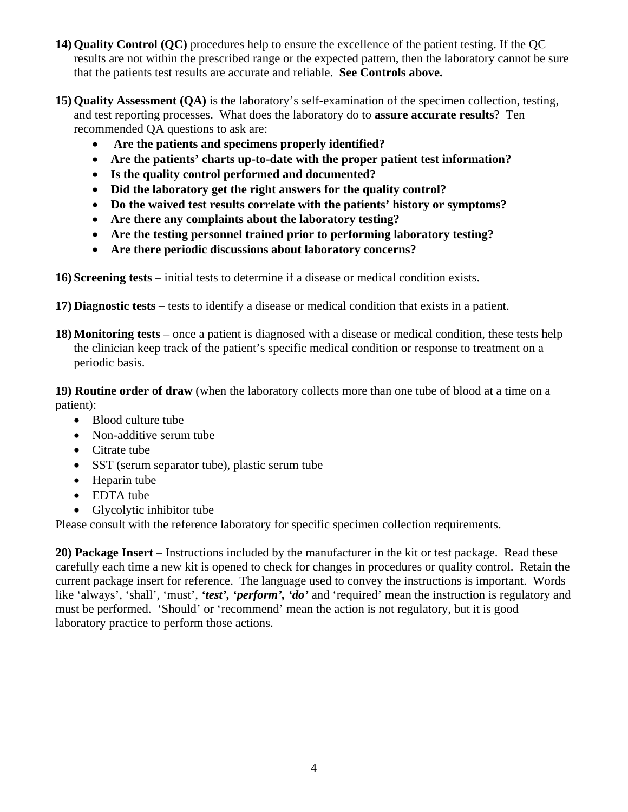- **14) Quality Control (QC)** procedures help to ensure the excellence of the patient testing. If the QC results are not within the prescribed range or the expected pattern, then the laboratory cannot be sure that the patients test results are accurate and reliable. **See Controls above.**
- **15) Quality Assessment (QA)** is the laboratory's self-examination of the specimen collection, testing, and test reporting processes. What does the laboratory do to **assure accurate results**? Ten recommended QA questions to ask are:
	- • **Are the patients and specimens properly identified?**
	- **Are the patients' charts up-to-date with the proper patient test information?**
	- **Is the quality control performed and documented?**
	- **Did the laboratory get the right answers for the quality control?**
	- **Do the waived test results correlate with the patients' history or symptoms?**
	- **Are there any complaints about the laboratory testing?**
	- **Are the testing personnel trained prior to performing laboratory testing?**
	- **Are there periodic discussions about laboratory concerns?**
- **16) Screening tests** initial tests to determine if a disease or medical condition exists.
- **17) Diagnostic tests**  tests to identify a disease or medical condition that exists in a patient.
- **18) Monitoring tests**  once a patient is diagnosed with a disease or medical condition, these tests help the clinician keep track of the patient's specific medical condition or response to treatment on a periodic basis.

**19) Routine order of draw** (when the laboratory collects more than one tube of blood at a time on a patient):

- Blood culture tube
- Non-additive serum tube
- Citrate tube
- SST (serum separator tube), plastic serum tube
- Heparin tube
- EDTA tube
- Glycolytic inhibitor tube

Please consult with the reference laboratory for specific specimen collection requirements.

**20) Package Insert** – Instructions included by the manufacturer in the kit or test package. Read these carefully each time a new kit is opened to check for changes in procedures or quality control. Retain the current package insert for reference. The language used to convey the instructions is important. Words like 'always', 'shall', 'must', 'test', 'perform', 'do' and 'required' mean the instruction is regulatory and must be performed. 'Should' or 'recommend' mean the action is not regulatory, but it is good laboratory practice to perform those actions.